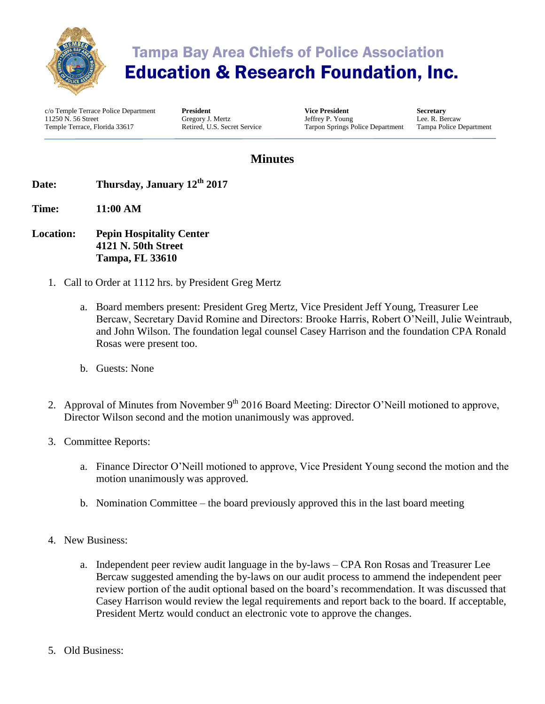

## Tampa Bay Area Chiefs of Police Association Education & Research Foundation, Inc.

c/o Temple Terrace Police Department 11250 N. 56 Street Temple Terrace, Florida 33617

**President** Gregory J. Mertz Retired, U.S. Secret Service

**Vice President** Jeffrey P. Young Tarpon Springs Police Department **Secretary** Lee. R. Bercaw Tampa Police Department

## **Minutes**

- **Date: Thursday, January 12th 2017**
- **Time: 11:00 AM**
- **Location: Pepin Hospitality Center 4121 N. 50th Street Tampa, FL 33610**
	- 1. Call to Order at 1112 hrs. by President Greg Mertz
		- a. Board members present: President Greg Mertz, Vice President Jeff Young, Treasurer Lee Bercaw, Secretary David Romine and Directors: Brooke Harris, Robert O'Neill, Julie Weintraub, and John Wilson. The foundation legal counsel Casey Harrison and the foundation CPA Ronald Rosas were present too.
		- b. Guests: None
	- 2. Approval of Minutes from November 9<sup>th</sup> 2016 Board Meeting: Director O'Neill motioned to approve, Director Wilson second and the motion unanimously was approved.
	- 3. Committee Reports:
		- a. Finance Director O'Neill motioned to approve, Vice President Young second the motion and the motion unanimously was approved.
		- b. Nomination Committee the board previously approved this in the last board meeting
	- 4. New Business:
		- a. Independent peer review audit language in the by-laws CPA Ron Rosas and Treasurer Lee Bercaw suggested amending the by-laws on our audit process to ammend the independent peer review portion of the audit optional based on the board's recommendation. It was discussed that Casey Harrison would review the legal requirements and report back to the board. If acceptable, President Mertz would conduct an electronic vote to approve the changes.
	- 5. Old Business: